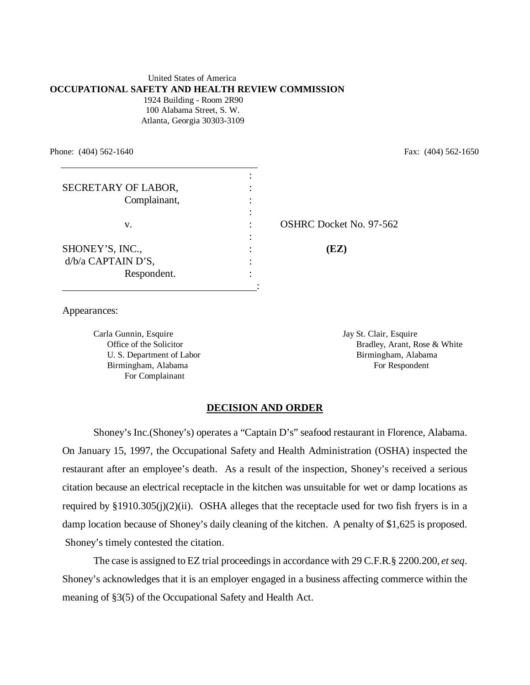#### United States of America **OCCUPATIONAL SAFETY AND HEALTH REVIEW COMMISSION** 1924 Building - Room 2R90 100 Alabama Street, S. W. Atlanta, Georgia 30303-3109

Phone: (404) 562-1640 Fax: (404) 562-1650

| SECRETARY OF LABOR,<br>Complainant, |                                |
|-------------------------------------|--------------------------------|
|                                     |                                |
| v.                                  | <b>OSHRC Docket No. 97-562</b> |
|                                     |                                |
| SHONEY'S, INC.,                     | (EZ)                           |
| d/b/a CAPTAIN D'S,                  |                                |
| Respondent.                         |                                |
|                                     |                                |

Appearances:

Carla Gunnin, Esquire Jay St. Clair, Esquire Jay St. Clair, Esquire Birmingham, Alabama For Respondent For Complainant

Office of the Solicitor **Bradley, Arant, Rose & White** Bradley, Arant, Rose & White U. S. Department of LaborBirmingham, Alabama

### **DECISION AND ORDER**

Shoney's Inc.(Shoney's) operates a "Captain D's" seafood restaurant in Florence, Alabama. On January 15, 1997, the Occupational Safety and Health Administration (OSHA) inspected the restaurant after an employee's death. As a result of the inspection, Shoney's received a serious citation because an electrical receptacle in the kitchen was unsuitable for wet or damp locations as required by  $\S 1910.305(j)(2)(ii)$ . OSHA alleges that the receptacle used for two fish fryers is in a damp location because of Shoney's daily cleaning of the kitchen. A penalty of \$1,625 is proposed. Shoney's timely contested the citation.

The case is assigned to EZ trial proceedings in accordance with 29 C.F.R.§ 2200.200, *et seq*. Shoney's acknowledges that it is an employer engaged in a business affecting commerce within the meaning of §3(5) of the Occupational Safety and Health Act.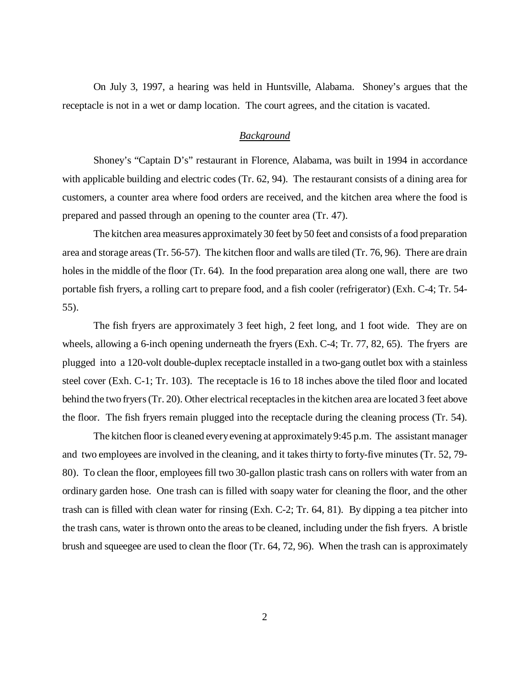On July 3, 1997, a hearing was held in Huntsville, Alabama. Shoney's argues that the receptacle is not in a wet or damp location. The court agrees, and the citation is vacated.

## *Background*

Shoney's "Captain D's" restaurant in Florence, Alabama, was built in 1994 in accordance with applicable building and electric codes (Tr. 62, 94). The restaurant consists of a dining area for customers, a counter area where food orders are received, and the kitchen area where the food is prepared and passed through an opening to the counter area (Tr. 47).

The kitchen area measures approximately 30 feet by 50 feet and consists of a food preparation area and storage areas (Tr. 56-57). The kitchen floor and walls are tiled (Tr. 76, 96). There are drain holes in the middle of the floor (Tr. 64). In the food preparation area along one wall, there are two portable fish fryers, a rolling cart to prepare food, and a fish cooler (refrigerator) (Exh. C-4; Tr. 54- 55).

 The fish fryers are approximately 3 feet high, 2 feet long, and 1 foot wide. They are on wheels, allowing a 6-inch opening underneath the fryers (Exh. C-4; Tr. 77, 82, 65). The fryers are plugged into a 120-volt double-duplex receptacle installed in a two-gang outlet box with a stainless steel cover (Exh. C-1; Tr. 103). The receptacle is 16 to 18 inches above the tiled floor and located behind the two fryers (Tr. 20). Other electrical receptacles in the kitchen area are located 3 feet above the floor. The fish fryers remain plugged into the receptacle during the cleaning process (Tr. 54).

The kitchen floor is cleaned every evening at approximately 9:45 p.m. The assistant manager and two employees are involved in the cleaning, and it takes thirty to forty-five minutes (Tr. 52, 79- 80). To clean the floor, employees fill two 30-gallon plastic trash cans on rollers with water from an ordinary garden hose. One trash can is filled with soapy water for cleaning the floor, and the other trash can is filled with clean water for rinsing (Exh. C-2; Tr. 64, 81). By dipping a tea pitcher into the trash cans, water is thrown onto the areas to be cleaned, including under the fish fryers. A bristle brush and squeegee are used to clean the floor (Tr. 64, 72, 96). When the trash can is approximately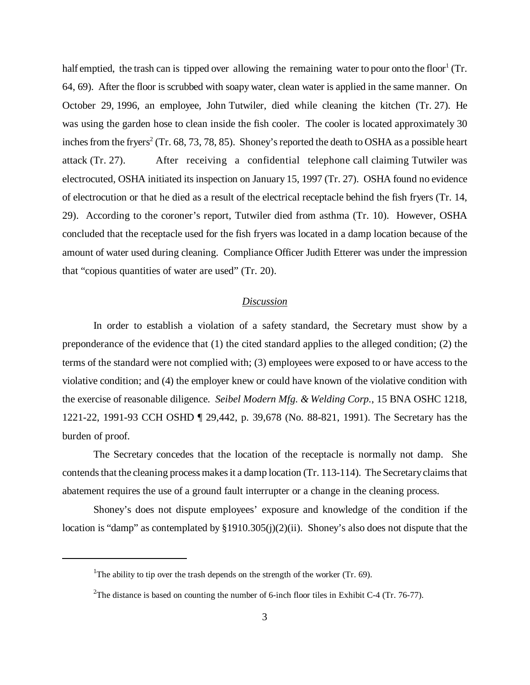half emptied, the trash can is tipped over allowing the remaining water to pour onto the floor<sup>1</sup> (Tr. 64, 69). After the floor is scrubbed with soapy water, clean water is applied in the same manner. On October 29, 1996, an employee, John Tutwiler, died while cleaning the kitchen (Tr. 27). He was using the garden hose to clean inside the fish cooler. The cooler is located approximately 30 inches from the fryers<sup>2</sup> (Tr. 68, 73, 78, 85). Shoney's reported the death to OSHA as a possible heart attack (Tr. 27). After receiving a confidential telephone call claiming Tutwiler was electrocuted, OSHA initiated its inspection on January 15, 1997 (Tr. 27). OSHA found no evidence of electrocution or that he died as a result of the electrical receptacle behind the fish fryers (Tr. 14, 29). According to the coroner's report, Tutwiler died from asthma (Tr. 10). However, OSHA concluded that the receptacle used for the fish fryers was located in a damp location because of the amount of water used during cleaning. Compliance Officer Judith Etterer was under the impression that "copious quantities of water are used" (Tr. 20).

## *Discussion*

In order to establish a violation of a safety standard, the Secretary must show by a preponderance of the evidence that  $(1)$  the cited standard applies to the alleged condition;  $(2)$  the terms of the standard were not complied with; (3) employees were exposed to or have access to the violative condition; and (4) the employer knew or could have known of the violative condition with the exercise of reasonable diligence. *Seibel Modern Mfg. & Welding Corp.*, 15 BNA OSHC 1218, 1221-22, 1991-93 CCH OSHD ¶ 29,442, p. 39,678 (No. 88-821, 1991). The Secretary has the burden of proof.

The Secretary concedes that the location of the receptacle is normally not damp. She contends that the cleaning process makes it a damp location (Tr. 113-114). The Secretary claims that abatement requires the use of a ground fault interrupter or a change in the cleaning process.

Shoney's does not dispute employees' exposure and knowledge of the condition if the location is "damp" as contemplated by §1910.305(j)(2)(ii). Shoney's also does not dispute that the

<sup>&</sup>lt;sup>1</sup>The ability to tip over the trash depends on the strength of the worker (Tr. 69).

<sup>&</sup>lt;sup>2</sup>The distance is based on counting the number of 6-inch floor tiles in Exhibit C-4 (Tr. 76-77).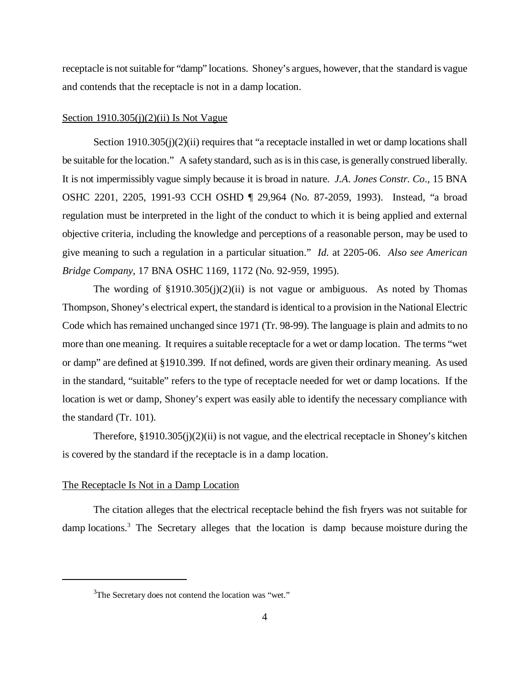receptacle is not suitable for "damp" locations. Shoney's argues, however, that the standard is vague and contends that the receptacle is not in a damp location.

#### Section  $1910.305(j)(2)(ii)$  Is Not Vague

Section 1910.305(j)(2)(ii) requires that "a receptacle installed in wet or damp locations shall be suitable for the location." A safety standard, such as is in this case, is generally construed liberally. It is not impermissibly vague simply because it is broad in nature. *J.A. Jones Constr. Co*., 15 BNA OSHC 2201, 2205, 1991-93 CCH OSHD ¶ 29,964 (No. 87-2059, 1993). Instead, "a broad regulation must be interpreted in the light of the conduct to which it is being applied and external objective criteria, including the knowledge and perceptions of a reasonable person, may be used to give meaning to such a regulation in a particular situation." *Id.* at 2205-06. *Also see American Bridge Company,* 17 BNA OSHC 1169, 1172 (No. 92-959, 1995).

The wording of  $\S 1910.305(j)(2)(ii)$  is not vague or ambiguous. As noted by Thomas Thompson, Shoney's electrical expert, the standard is identical to a provision in the National Electric Code which has remained unchanged since 1971 (Tr. 98-99). The language is plain and admits to no more than one meaning. It requires a suitable receptacle for a wet or damp location. The terms "wet or damp" are defined at §1910.399. If not defined, words are given their ordinary meaning. As used in the standard, "suitable" refers to the type of receptacle needed for wet or damp locations. If the location is wet or damp, Shoney's expert was easily able to identify the necessary compliance with the standard (Tr. 101).

Therefore,  $\S 1910.305(j)(2)(ii)$  is not vague, and the electrical receptacle in Shoney's kitchen is covered by the standard if the receptacle is in a damp location.

#### The Receptacle Is Not in a Damp Location

The citation alleges that the electrical receptacle behind the fish fryers was not suitable for damp locations.<sup>3</sup> The Secretary alleges that the location is damp because moisture during the

 $3$ The Secretary does not contend the location was "wet."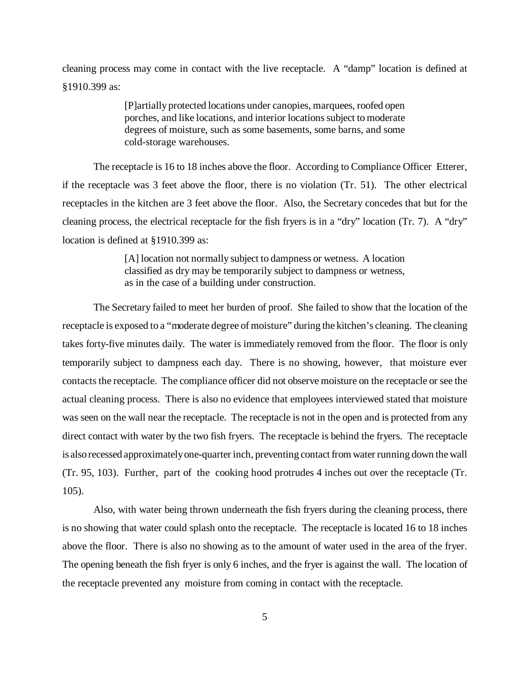cleaning process may come in contact with the live receptacle. A "damp" location is defined at §1910.399 as:

> [P]artially protected locations under canopies, marquees, roofed open porches, and like locations, and interior locations subject to moderate degrees of moisture, such as some basements, some barns, and some cold-storage warehouses.

The receptacle is 16 to 18 inches above the floor. According to Compliance Officer Etterer, if the receptacle was 3 feet above the floor, there is no violation (Tr. 51). The other electrical receptacles in the kitchen are 3 feet above the floor. Also, the Secretary concedes that but for the cleaning process, the electrical receptacle for the fish fryers is in a "dry" location (Tr. 7). A "dry" location is defined at §1910.399 as:

> [A] location not normally subject to dampness or wetness. A location classified as dry may be temporarily subject to dampness or wetness, as in the case of a building under construction.

The Secretary failed to meet her burden of proof. She failed to show that the location of the receptacle is exposed to a "moderate degree of moisture" during the kitchen's cleaning. The cleaning takes forty-five minutes daily. The water is immediately removed from the floor. The floor is only temporarily subject to dampness each day. There is no showing, however, that moisture ever contacts the receptacle. The compliance officer did not observe moisture on the receptacle or see the actual cleaning process. There is also no evidence that employees interviewed stated that moisture was seen on the wall near the receptacle. The receptacle is not in the open and is protected from any direct contact with water by the two fish fryers. The receptacle is behind the fryers. The receptacle is also recessed approximately one-quarter inch, preventing contact from water running down the wall (Tr. 95, 103). Further, part of the cooking hood protrudes 4 inches out over the receptacle (Tr. 105).

Also, with water being thrown underneath the fish fryers during the cleaning process, there is no showing that water could splash onto the receptacle. The receptacle is located 16 to 18 inches above the floor. There is also no showing as to the amount of water used in the area of the fryer. The opening beneath the fish fryer is only 6 inches, and the fryer is against the wall. The location of the receptacle prevented any moisture from coming in contact with the receptacle.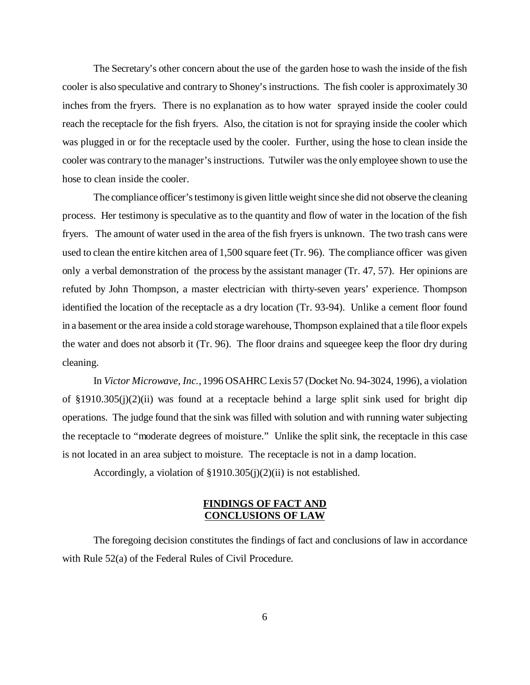The Secretary's other concern about the use of the garden hose to wash the inside of the fish cooler is also speculative and contrary to Shoney's instructions. The fish cooler is approximately 30 inches from the fryers. There is no explanation as to how water sprayed inside the cooler could reach the receptacle for the fish fryers. Also, the citation is not for spraying inside the cooler which was plugged in or for the receptacle used by the cooler. Further, using the hose to clean inside the cooler was contrary to the manager's instructions. Tutwiler was the only employee shown to use the hose to clean inside the cooler.

The compliance officer's testimony is given little weight since she did not observe the cleaning process. Her testimony is speculative as to the quantity and flow of water in the location of the fish fryers. The amount of water used in the area of the fish fryers is unknown. The two trash cans were used to clean the entire kitchen area of 1,500 square feet (Tr. 96). The compliance officer was given only a verbal demonstration of the process by the assistant manager (Tr. 47, 57). Her opinions are refuted by John Thompson, a master electrician with thirty-seven years' experience. Thompson identified the location of the receptacle as a dry location (Tr. 93-94). Unlike a cement floor found in a basement or the area inside a cold storage warehouse, Thompson explained that a tile floor expels the water and does not absorb it (Tr. 96). The floor drains and squeegee keep the floor dry during cleaning.

In *Victor Microwave, Inc.,* 1996 OSAHRC Lexis 57 (Docket No. 94-3024, 1996), a violation of §1910.305(j)(2)(ii) was found at a receptacle behind a large split sink used for bright dip operations. The judge found that the sink was filled with solution and with running water subjecting the receptacle to "moderate degrees of moisture." Unlike the split sink, the receptacle in this case is not located in an area subject to moisture. The receptacle is not in a damp location.

Accordingly, a violation of §1910.305(j)(2)(ii) is not established.

## **FINDINGS OF FACT AND CONCLUSIONS OF LAW**

The foregoing decision constitutes the findings of fact and conclusions of law in accordance with Rule 52(a) of the Federal Rules of Civil Procedure.